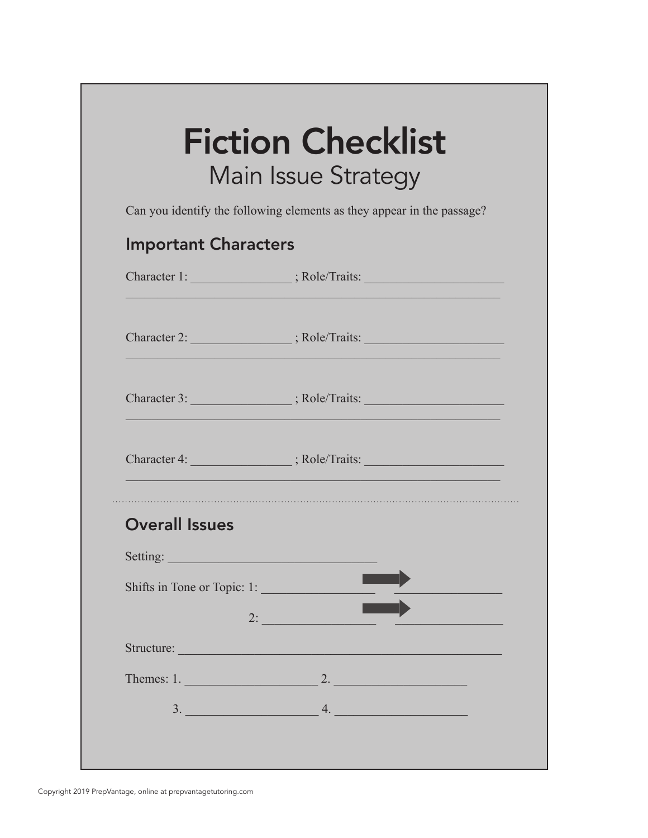| <b>Important Characters</b><br>Character 1: _____________________; Role/Traits: ________________________________ |
|------------------------------------------------------------------------------------------------------------------|
|                                                                                                                  |
|                                                                                                                  |
|                                                                                                                  |
|                                                                                                                  |
|                                                                                                                  |
|                                                                                                                  |
| Setting:                                                                                                         |
| Shifts in Tone or Topic: 1:                                                                                      |
| $2:$ $\overline{\phantom{a}}$                                                                                    |
|                                                                                                                  |
|                                                                                                                  |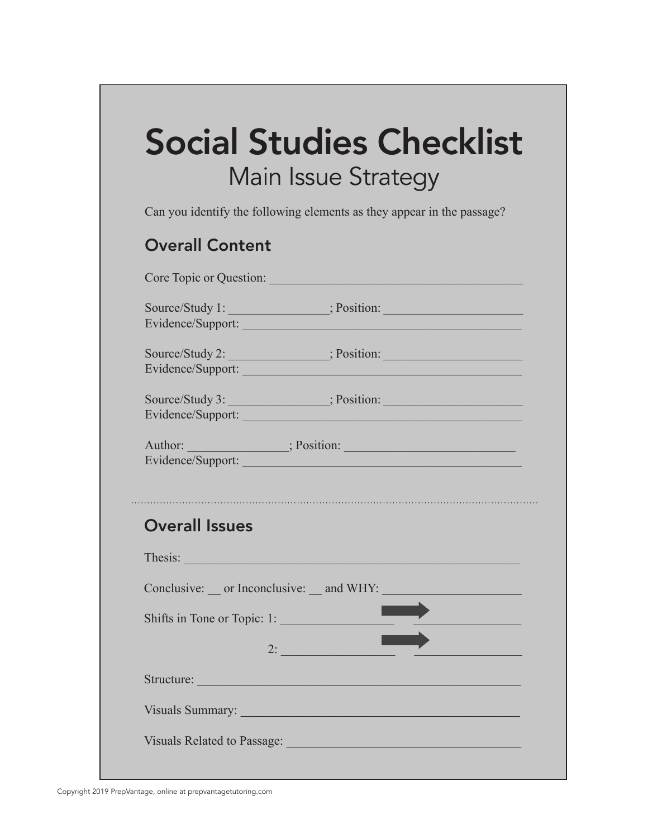# Social Studies Checklist Main Issue Strategy

Can you identify the following elements as they appear in the passage?

#### Overall Content

|                                                                                                                                                                                                                                                     | Core Topic or Question:                                                                                                                                                                                                        |  |
|-----------------------------------------------------------------------------------------------------------------------------------------------------------------------------------------------------------------------------------------------------|--------------------------------------------------------------------------------------------------------------------------------------------------------------------------------------------------------------------------------|--|
|                                                                                                                                                                                                                                                     | Evidence/Support:                                                                                                                                                                                                              |  |
|                                                                                                                                                                                                                                                     | Evidence/Support:                                                                                                                                                                                                              |  |
|                                                                                                                                                                                                                                                     | Evidence/Support:                                                                                                                                                                                                              |  |
| Author: Sales Bosition: Separation: Separation: Separation: Separation: Separation: Separation: Separation: Separation: Separation: Separation: Separation: Separation: Separation: Separation: Separation: Separation: Separa<br>Evidence/Support: |                                                                                                                                                                                                                                |  |
|                                                                                                                                                                                                                                                     |                                                                                                                                                                                                                                |  |
| <b>Overall Issues</b>                                                                                                                                                                                                                               |                                                                                                                                                                                                                                |  |
|                                                                                                                                                                                                                                                     |                                                                                                                                                                                                                                |  |
| Thesis: Thesis: The Same Communication of the Communication of the Communication of the Communication of the Communication of the Communication of the Communication of the Communication of the Communication of the Communic                      |                                                                                                                                                                                                                                |  |
|                                                                                                                                                                                                                                                     |                                                                                                                                                                                                                                |  |
|                                                                                                                                                                                                                                                     | Shifts in Tone or Topic: 1:<br>$2:$ $\overline{\phantom{a}}$                                                                                                                                                                   |  |
|                                                                                                                                                                                                                                                     | Structure: Executive Contract of the Contract of the Contract of the Contract of the Contract of the Contract of the Contract of the Contract of the Contract of the Contract of the Contract of the Contract of the Contract  |  |
|                                                                                                                                                                                                                                                     | Visuals Summary: New York Contract of the Contract of the Contract of the Contract of the Contract of the Contract of the Contract of the Contract of the Contract of the Contract of the Contract of the Contract of the Cont |  |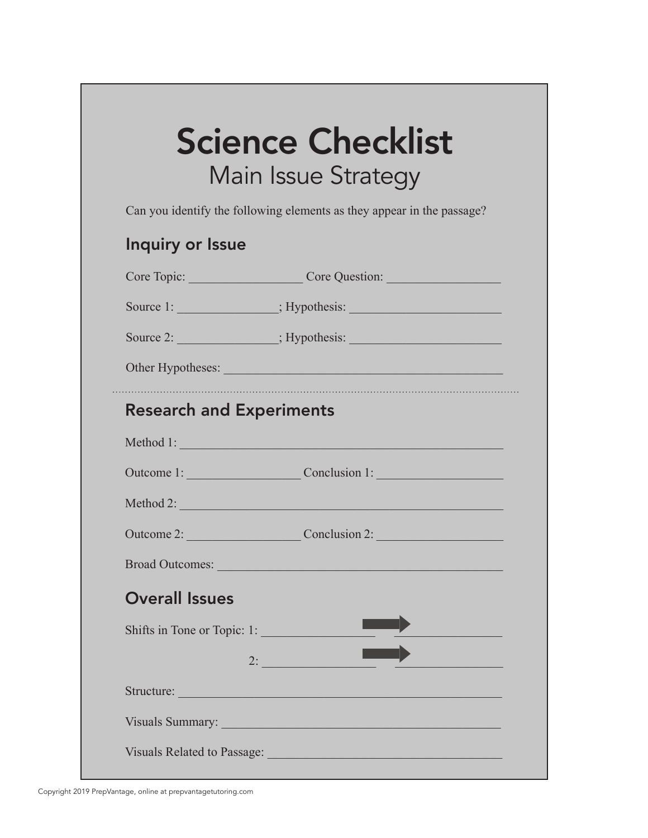# Science Checklist Main Issue Strategy

Can you identify the following elements as they appear in the passage?

#### Inquiry or Issue

|                                 | Core Topic: Core Question:                                                                                                                                                                                                     |  |  |  |
|---------------------------------|--------------------------------------------------------------------------------------------------------------------------------------------------------------------------------------------------------------------------------|--|--|--|
|                                 |                                                                                                                                                                                                                                |  |  |  |
|                                 |                                                                                                                                                                                                                                |  |  |  |
| Other Hypotheses:               |                                                                                                                                                                                                                                |  |  |  |
| <b>Research and Experiments</b> |                                                                                                                                                                                                                                |  |  |  |
|                                 | Method 1:                                                                                                                                                                                                                      |  |  |  |
|                                 | Outcome 1: Conclusion 1:                                                                                                                                                                                                       |  |  |  |
|                                 | Method 2:                                                                                                                                                                                                                      |  |  |  |
|                                 | Outcome 2: Conclusion 2:                                                                                                                                                                                                       |  |  |  |
|                                 |                                                                                                                                                                                                                                |  |  |  |
| <b>Overall Issues</b>           |                                                                                                                                                                                                                                |  |  |  |
| Shifts in Tone or Topic: 1:     |                                                                                                                                                                                                                                |  |  |  |
|                                 |                                                                                                                                                                                                                                |  |  |  |
|                                 | Structure: Note of the Commission of the Commission of the Commission of the Commission of the Commission of the Commission of the Commission of the Commission of the Commission of the Commission of the Commission of the C |  |  |  |
|                                 | Visuals Summary: New York Contract of the Summary:                                                                                                                                                                             |  |  |  |
|                                 | Visuals Related to Passage: Manager and Manager and Manager and Manager and Manager and Manager and Manager and                                                                                                                |  |  |  |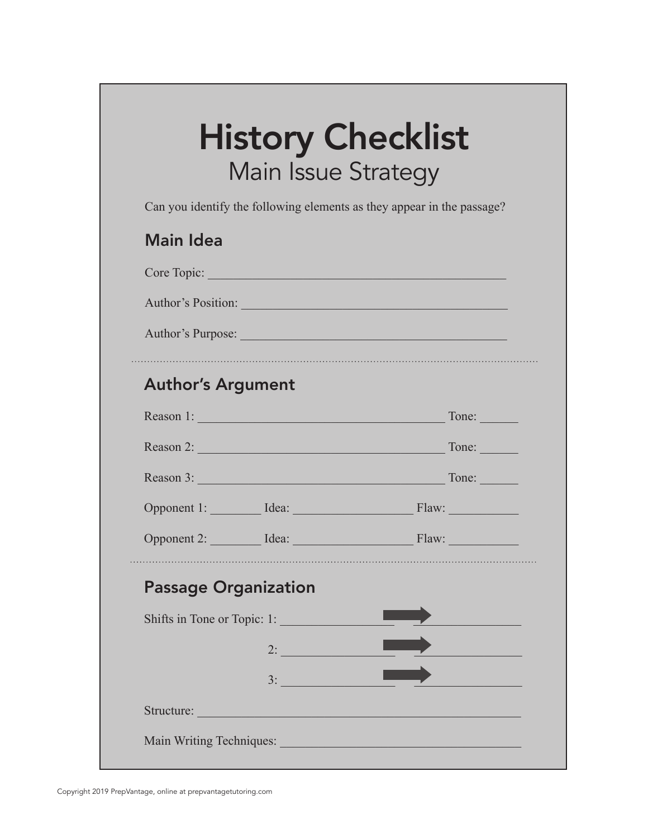### History Checklist Main Issue Strategy

Can you identify the following elements as they appear in the passage?

#### Main Idea

|                             |                             | Author's Position: 1988                                                                                        |
|-----------------------------|-----------------------------|----------------------------------------------------------------------------------------------------------------|
| Author's Purpose:           |                             |                                                                                                                |
| <b>Author's Argument</b>    |                             |                                                                                                                |
|                             |                             | Reason 1: Tone: Tone:                                                                                          |
|                             |                             |                                                                                                                |
|                             |                             | Reason 3: Tone: Tone:                                                                                          |
|                             |                             | Opponent 1: Idea: Idea: Flaw:                                                                                  |
|                             |                             | Opponent 2: Idea: Idea: Flaw:                                                                                  |
| <b>Passage Organization</b> |                             |                                                                                                                |
|                             | Shifts in Tone or Topic: 1: |                                                                                                                |
|                             |                             |                                                                                                                |
|                             | 3:                          |                                                                                                                |
|                             |                             | Structure: Note and the state of the state of the state of the state of the state of the state of the state of |
|                             |                             | Main Writing Techniques: Main Writing Techniques:                                                              |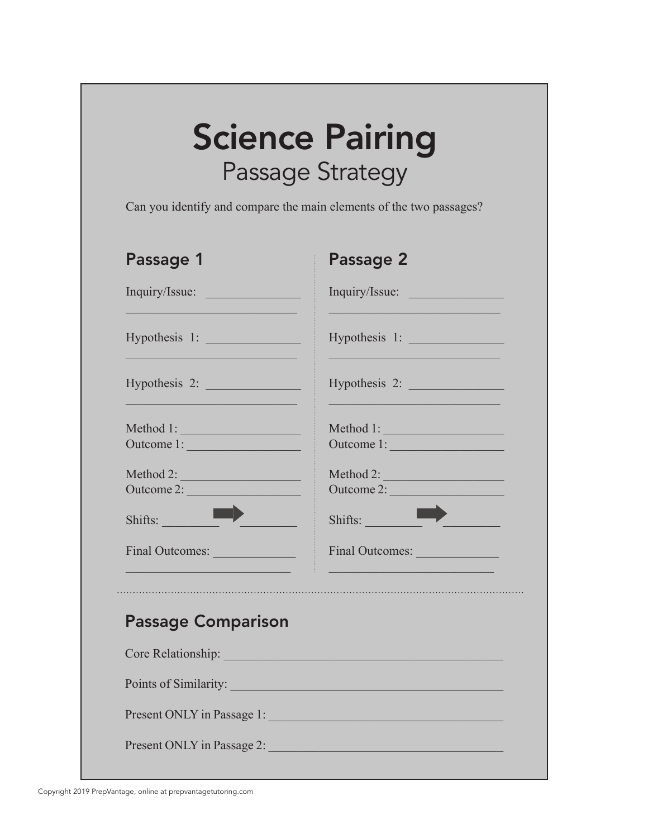## Science Pairing Passage Strategy

Can you identify and compare the main elements of the two passages?

| Passage 1                                    | Passage 2               |
|----------------------------------------------|-------------------------|
| Inquiry/Issue:                               | Inquiry/Issue:          |
|                                              | Hypothesis 1:           |
| Hypothesis 2:                                | Hypothesis 2:           |
| Method 1:<br>Outcome 1:                      | Outcome 1:              |
| Method 2:<br>Outcome 2:                      | Method 2:<br>Outcome 2: |
| Shifts:                                      | Shifts:                 |
| Final Outcomes:                              | Final Outcomes:         |
|                                              |                         |
| <b>Passage Comparison</b>                    |                         |
| <b>Core Relationship: Core Relationship:</b> |                         |
| Points of Similarity:                        |                         |
| Present ONLY in Passage 1:                   |                         |
| Present ONLY in Passage 2:                   |                         |